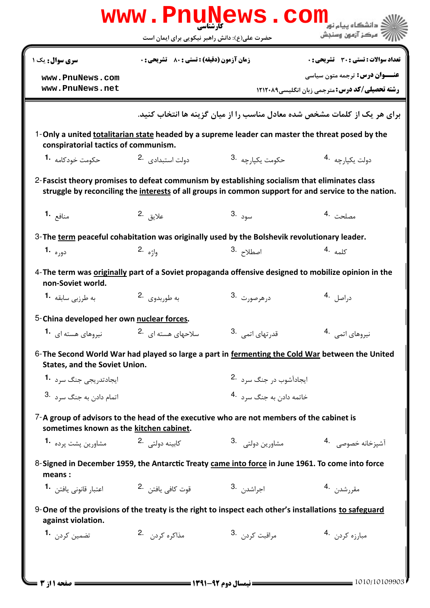|                                                                                                                                          | WWW.FIIU<br>حضرت علی(ع): دانش راهبر نیکویی برای ایمان است | W D                                                              | ، دانشگاه پیام نور<br>' مرڪز آزمون وسنڊش                                                             |
|------------------------------------------------------------------------------------------------------------------------------------------|-----------------------------------------------------------|------------------------------------------------------------------|------------------------------------------------------------------------------------------------------|
| <b>سری سوال :</b> یک ۱                                                                                                                   | <b>زمان آزمون (دقیقه) : تستی : 80 ٪ تشریحی : 0</b>        |                                                                  | تعداد سوالات : تستى : 30 ٪ تشريحي : 0                                                                |
| www.PnuNews.com<br>www.PnuNews.net                                                                                                       |                                                           |                                                                  | <b>عنـــوان درس:</b> ترجمه متون سیاسی<br><b>رشته تحصیلی/کد درس: مترجمی زبان انگلیسی ۱۲۱۲۰۸۹</b>      |
|                                                                                                                                          |                                                           |                                                                  | برای هر یک از کلمات مشخص شده معادل مناسب را از میان گزینه ها انتخاب کنید.                            |
| 1-Only a united totalitarian state headed by a supreme leader can master the threat posed by the<br>conspiratorial tactics of communism. |                                                           |                                                                  |                                                                                                      |
| حکومت خودکامه <b>1</b> ۰                                                                                                                 | دولت استبدادی 2.                                          | 3. حكومت يكيا <sub>د</sub> جه                                    | دولت يكيا <sub>ر</sub> چه <sup>.4</sup>                                                              |
| 2-Fascist theory promises to defeat communism by establishing socialism that eliminates class                                            |                                                           |                                                                  | struggle by reconciling the interests of all groups in common support for and service to the nation. |
| منافع 1.                                                                                                                                 | علايق . <sup>2</sup>                                      | سود .3                                                           | مصلحت 4.                                                                                             |
| 3-The term peaceful cohabitation was originally used by the Bolshevik revolutionary leader.                                              |                                                           |                                                                  |                                                                                                      |
| دوره <b>-1</b>                                                                                                                           | واژه .2                                                   | اصطلاح <sup>.3</sup>                                             | كلمه .4                                                                                              |
| 4-The term was <b>originally</b> part of a Soviet propaganda offensive designed to mobilize opinion in the<br>non-Soviet world.          |                                                           |                                                                  |                                                                                                      |
| به طرزبی سابقه <b>1۰</b>                                                                                                                 | به طورېدوي. 2.                                            | درهرصورت .3                                                      | د <sub>ر</sub> اصل 4.                                                                                |
| 5-China developed her own nuclear forces.                                                                                                |                                                           |                                                                  |                                                                                                      |
| نیروهای هسته ای 1.                                                                                                                       | سلاحهای هسته ای <sup>.2</sup>                             | قدرتهای اتمی <sup>.3</sup>                                       | نیروهای اتمی .4                                                                                      |
| 6-The Second World War had played so large a part in fermenting the Cold War between the United<br><b>States, and the Soviet Union.</b>  |                                                           |                                                                  |                                                                                                      |
| ایجادتد <sub>ر</sub> یجی جنگ سرد <b>1</b> ۰                                                                                              |                                                           | ایجادآشوب در جنگ سرد 2.                                          |                                                                                                      |
| اتمام داد <sub>ن</sub> به جنگ سرد 3.                                                                                                     |                                                           | خاتمه دادن به جنگ س <sub>ر</sub> د 4.                            |                                                                                                      |
| 7-A group of advisors to the head of the executive who are not members of the cabinet is<br>sometimes known as the kitchen cabinet.      |                                                           |                                                                  |                                                                                                      |
| مشاورين پشت يرده 1۰                                                                                                                      | كابينه دولتى 2.                                           | 3. مشاورين دولتي                                                 | آشيزخانه خصوصي <sup>4</sup>                                                                          |
| 8-Signed in December 1959, the Antarctic Treaty came into force in June 1961. To come into force<br>means:                               |                                                           |                                                                  |                                                                                                      |
|                                                                                                                                          |                                                           |                                                                  | مقررشدن 4.                                                                                           |
| 9-One of the provisions of the treaty is the right to inspect each other's installations to safeguard<br>against violation.              |                                                           |                                                                  |                                                                                                      |
| ِ تضمین کردن <b>1</b> ۰                                                                                                                  | مذاكره كردن 2.                                            | مراقبت كردن .3                                                   | مبارزه کردن 4.                                                                                       |
|                                                                                                                                          |                                                           |                                                                  |                                                                                                      |
| <b>: صفحه 11; 3 ـــ</b>                                                                                                                  |                                                           | <b>ــــــــــــــــ</b> نیمسال دوم ۹۲-۱۳۹۱ <b>ــــــــــــــ</b> | $\frac{1010}{10109903}$                                                                              |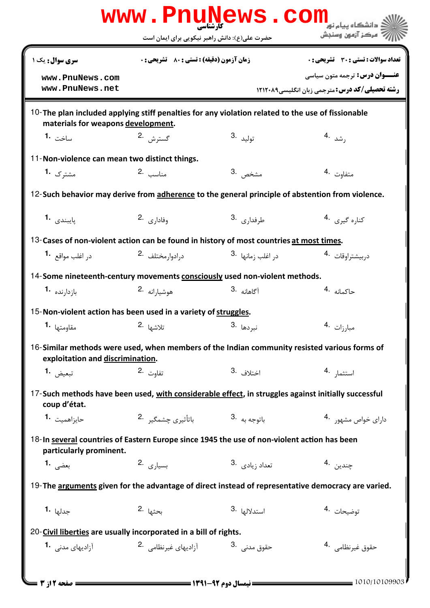|                                                                                                                                         |                                               |                                          | WWW.PnuNews.Com                                       |
|-----------------------------------------------------------------------------------------------------------------------------------------|-----------------------------------------------|------------------------------------------|-------------------------------------------------------|
|                                                                                                                                         | حضرت علی(ع): دانش راهبر نیکویی برای ایمان است |                                          | مركز آزمون وسنجش                                      |
| <b>سری سوال :</b> یک ۱                                                                                                                  | زمان آزمون (دقيقه) : تستى : 80 ٪ تشريحي : 0   |                                          | تعداد سوالات : تستي : 30 ٪ تشريحي : 0                 |
| www.PnuNews.com                                                                                                                         |                                               |                                          | <b>عنـــوان درس:</b> ترجمه متون سیاسی                 |
| www.PnuNews.net                                                                                                                         |                                               |                                          | <b>رشته تحصیلی/کد درس: مترجمی زبان انگلیسی1۲۱۲۰۸۹</b> |
| 10-The plan included applying stiff penalties for any violation related to the use of fissionable<br>materials for weapons development. |                                               |                                          |                                                       |
| ساخت <b>1.</b>                                                                                                                          | گسترش .2                                      | 3. توليد                                 | رشد .4                                                |
| 11-Non-violence can mean two distinct things.                                                                                           |                                               |                                          |                                                       |
| مشترک 1.                                                                                                                                | مناسب 2.                                      | مشخص .3                                  | متفاوت 4.                                             |
| 12-Such behavior may derive from adherence to the general principle of abstention from violence.                                        |                                               |                                          |                                                       |
| بايبندى 1.                                                                                                                              | $2.$ وفاداری $\cdot$                          | طرفدا <sub>ر</sub> ی <sup>3</sup> ۰      | كناره گيري 4.                                         |
| 13-Cases of non-violent action can be found in history of most countries at most times.                                                 |                                               |                                          |                                                       |
| د <sub>ر</sub> اغلب مواقع <b>1</b> ۰                                                                                                    | درادوارمختلف 2.                               | در اغلب <sub>ذ</sub> مانها <sup>.3</sup> | دربيشتراوقات 4.                                       |
| 14-Some nineteenth-century movements consciously used non-violent methods.                                                              |                                               |                                          |                                                       |
| $1.$ بازدارنده                                                                                                                          | هوشيارانه 2.                                  | آگاهانه .3                               | حاكمانه 4.                                            |
| 15-Non-violent action has been used in a variety of struggles.                                                                          |                                               |                                          |                                                       |
| مقاومتها 1.                                                                                                                             | تلاشها <sup>.2</sup>                          | نبردها <sup>.3</sup>                     | مبارزات 4.                                            |
| 16-Similar methods were used, when members of the Indian community resisted various forms of<br>exploitation and discrimination.        |                                               |                                          |                                                       |
| تبعيض <b>1.</b>                                                                                                                         | تفاوت .2                                      | 3. اختلاف                                | استثما <sub>ر</sub> .4                                |
| 17-Such methods have been used, with considerable effect, in struggles against initially successful<br>coup d'état.                     |                                               |                                          |                                                       |
| حايزاهميت <b>1.</b>                                                                                                                     | باتوجه به <sup>.3</sup> باتأثیری چشمگیر .2    |                                          | دارای خواص مشهو, 4.                                   |
| 18-In several countries of Eastern Europe since 1945 the use of non-violent action has been<br>particularly prominent.                  |                                               |                                          |                                                       |
| بعضى 1.                                                                                                                                 | بسيا <sub>دى</sub> .2                         | 3. تعداد زيادي.                          | چندين .4                                              |
| 19-The arguments given for the advantage of direct instead of representative democracy are varied.                                      |                                               |                                          |                                                       |
| جدلها <b>1.</b>                                                                                                                         | بحثها .2                                      | 3. استدلالها                             | توضيحات 4.                                            |
| 20-Civil liberties are usually incorporated in a bill of rights.                                                                        |                                               |                                          |                                                       |
| آزادیهای مدنی <b>1</b> ۰                                                                                                                | آزادیهای غیرنظامی <sup>.2</sup>               | حقوق مدنى .3                             | حقوق غيرنظامي . 4                                     |
|                                                                                                                                         |                                               |                                          |                                                       |
| = صفحه 2 از 3                                                                                                                           |                                               |                                          | $= 1010/10109903$                                     |